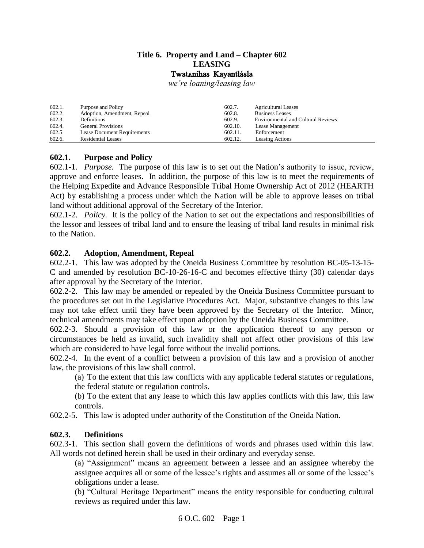#### **Title 6. Property and Land – Chapter 602 LEASING** TwatAníhas Kayantlásla

*we're loaning/leasing law*

| 602.1.<br>602.2. | Purpose and Policy<br>Adoption, Amendment, Repeal | 602.7.<br>602.8. | <b>Agricultural Leases</b><br><b>Business Leases</b> |
|------------------|---------------------------------------------------|------------------|------------------------------------------------------|
| 602.3.           | Definitions                                       | 602.9.           | <b>Environmental and Cultural Reviews</b>            |
| 602.4.           | <b>General Provisions</b>                         | 602.10.          | Lease Management                                     |
| 602.5.           | <b>Lease Document Requirements</b>                | 602.11.          | Enforcement                                          |
| 602.6.           | <b>Residential Leases</b>                         | 602.12.          | Leasing Actions                                      |

## <span id="page-0-0"></span>**602.1. Purpose and Policy**

602.1-1. *Purpose.* The purpose of this law is to set out the Nation's authority to issue, review, approve and enforce leases. In addition, the purpose of this law is to meet the requirements of the Helping Expedite and Advance Responsible Tribal Home Ownership Act of 2012 (HEARTH Act) by establishing a process under which the Nation will be able to approve leases on tribal land without additional approval of the Secretary of the Interior.

602.1-2. *Policy.* It is the policy of the Nation to set out the expectations and responsibilities of the lessor and lessees of tribal land and to ensure the leasing of tribal land results in minimal risk to the Nation.

## <span id="page-0-1"></span>**602.2. Adoption, Amendment, Repeal**

602.2-1. This law was adopted by the Oneida Business Committee by resolution BC-05-13-15- C and amended by resolution BC-10-26-16-C and becomes effective thirty (30) calendar days after approval by the Secretary of the Interior.

602.2-2. This law may be amended or repealed by the Oneida Business Committee pursuant to the procedures set out in the Legislative Procedures Act. Major, substantive changes to this law may not take effect until they have been approved by the Secretary of the Interior. Minor, technical amendments may take effect upon adoption by the Oneida Business Committee.

602.2-3. Should a provision of this law or the application thereof to any person or circumstances be held as invalid, such invalidity shall not affect other provisions of this law which are considered to have legal force without the invalid portions.

602.2-4. In the event of a conflict between a provision of this law and a provision of another law, the provisions of this law shall control.

(a) To the extent that this law conflicts with any applicable federal statutes or regulations,

the federal statute or regulation controls.

(b) To the extent that any lease to which this law applies conflicts with this law, this law controls.

602.2-5. This law is adopted under authority of the Constitution of the Oneida Nation.

# <span id="page-0-2"></span>**602.3. Definitions**

602.3-1. This section shall govern the definitions of words and phrases used within this law. All words not defined herein shall be used in their ordinary and everyday sense.

(a) "Assignment" means an agreement between a lessee and an assignee whereby the assignee acquires all or some of the lessee's rights and assumes all or some of the lessee's obligations under a lease.

(b) "Cultural Heritage Department" means the entity responsible for conducting cultural reviews as required under this law.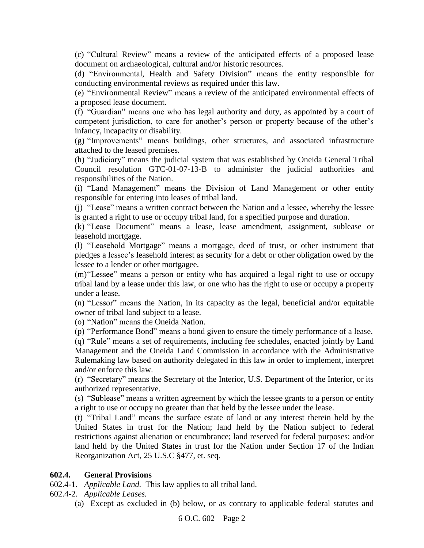(c) "Cultural Review" means a review of the anticipated effects of a proposed lease document on archaeological, cultural and/or historic resources.

(d) "Environmental, Health and Safety Division" means the entity responsible for conducting environmental reviews as required under this law.

(e) "Environmental Review" means a review of the anticipated environmental effects of a proposed lease document.

(f) "Guardian" means one who has legal authority and duty, as appointed by a court of competent jurisdiction, to care for another's person or property because of the other's infancy, incapacity or disability.

(g) "Improvements" means buildings, other structures, and associated infrastructure attached to the leased premises.

(h) "Judiciary" means the judicial system that was established by Oneida General Tribal Council resolution GTC-01-07-13-B to administer the judicial authorities and responsibilities of the Nation.

(i) "Land Management" means the Division of Land Management or other entity responsible for entering into leases of tribal land.

(j) "Lease" means a written contract between the Nation and a lessee, whereby the lessee is granted a right to use or occupy tribal land, for a specified purpose and duration.

(k) "Lease Document" means a lease, lease amendment, assignment, sublease or leasehold mortgage.

(l) "Leasehold Mortgage" means a mortgage, deed of trust, or other instrument that pledges a lessee's leasehold interest as security for a debt or other obligation owed by the lessee to a lender or other mortgagee.

(m)"Lessee" means a person or entity who has acquired a legal right to use or occupy tribal land by a lease under this law, or one who has the right to use or occupy a property under a lease.

(n) "Lessor" means the Nation, in its capacity as the legal, beneficial and/or equitable owner of tribal land subject to a lease.

(o) "Nation" means the Oneida Nation.

(p) "Performance Bond" means a bond given to ensure the timely performance of a lease.

(q) "Rule" means a set of requirements, including fee schedules, enacted jointly by Land Management and the Oneida Land Commission in accordance with the Administrative Rulemaking law based on authority delegated in this law in order to implement, interpret and/or enforce this law.

(r) "Secretary" means the Secretary of the Interior, U.S. Department of the Interior, or its authorized representative.

(s) "Sublease" means a written agreement by which the lessee grants to a person or entity a right to use or occupy no greater than that held by the lessee under the lease.

(t) "Tribal Land" means the surface estate of land or any interest therein held by the United States in trust for the Nation; land held by the Nation subject to federal restrictions against alienation or encumbrance; land reserved for federal purposes; and/or land held by the United States in trust for the Nation under Section 17 of the Indian Reorganization Act, 25 U.S.C §477, et. seq.

#### <span id="page-1-0"></span>**602.4. General Provisions**

602.4-1. *Applicable Land.* This law applies to all tribal land.

602.4-2. *Applicable Leases.*

(a) Except as excluded in (b) below, or as contrary to applicable federal statutes and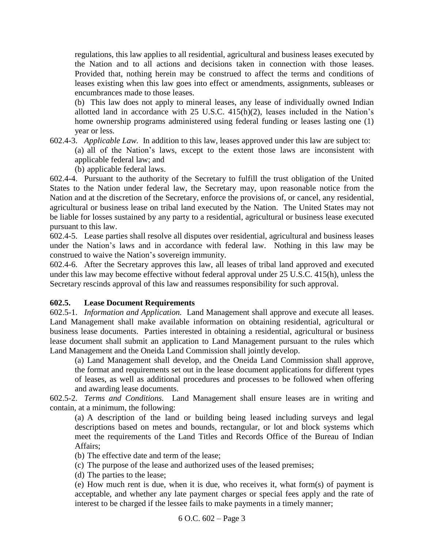regulations, this law applies to all residential, agricultural and business leases executed by the Nation and to all actions and decisions taken in connection with those leases. Provided that, nothing herein may be construed to affect the terms and conditions of leases existing when this law goes into effect or amendments, assignments, subleases or encumbrances made to those leases.

(b) This law does not apply to mineral leases, any lease of individually owned Indian allotted land in accordance with  $25 \text{ U.S.C. } 415 \text{ (h)}(2)$ , leases included in the Nation's home ownership programs administered using federal funding or leases lasting one (1) year or less.

602.4-3. *Applicable Law.* In addition to this law, leases approved under this law are subject to: (a) all of the Nation's laws, except to the extent those laws are inconsistent with applicable federal law; and

(b) applicable federal laws.

602.4-4. Pursuant to the authority of the Secretary to fulfill the trust obligation of the United States to the Nation under federal law, the Secretary may, upon reasonable notice from the Nation and at the discretion of the Secretary, enforce the provisions of, or cancel, any residential, agricultural or business lease on tribal land executed by the Nation. The United States may not be liable for losses sustained by any party to a residential, agricultural or business lease executed pursuant to this law.

602.4-5. Lease parties shall resolve all disputes over residential, agricultural and business leases under the Nation's laws and in accordance with federal law. Nothing in this law may be construed to waive the Nation's sovereign immunity.

602.4-6. After the Secretary approves this law, all leases of tribal land approved and executed under this law may become effective without federal approval under 25 U.S.C. 415(h), unless the Secretary rescinds approval of this law and reassumes responsibility for such approval.

# <span id="page-2-0"></span>**602.5. Lease Document Requirements**

602.5-1. *Information and Application.* Land Management shall approve and execute all leases. Land Management shall make available information on obtaining residential, agricultural or business lease documents. Parties interested in obtaining a residential, agricultural or business lease document shall submit an application to Land Management pursuant to the rules which Land Management and the Oneida Land Commission shall jointly develop.

(a) Land Management shall develop, and the Oneida Land Commission shall approve, the format and requirements set out in the lease document applications for different types of leases, as well as additional procedures and processes to be followed when offering and awarding lease documents.

602.5-2. *Terms and Conditions.* Land Management shall ensure leases are in writing and contain, at a minimum, the following:

(a) A description of the land or building being leased including surveys and legal descriptions based on metes and bounds, rectangular, or lot and block systems which meet the requirements of the Land Titles and Records Office of the Bureau of Indian Affairs;

(b) The effective date and term of the lease;

(c) The purpose of the lease and authorized uses of the leased premises;

(d) The parties to the lease;

(e) How much rent is due, when it is due, who receives it, what form(s) of payment is acceptable, and whether any late payment charges or special fees apply and the rate of interest to be charged if the lessee fails to make payments in a timely manner;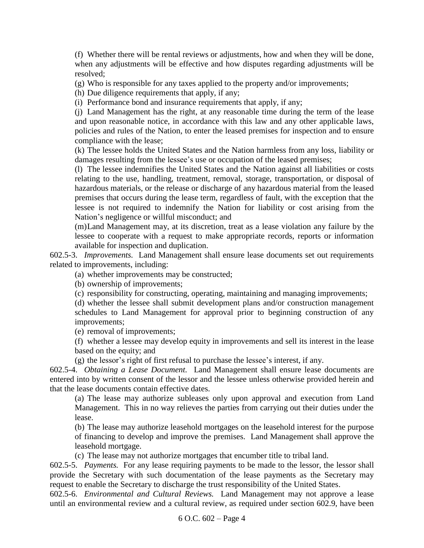(f) Whether there will be rental reviews or adjustments, how and when they will be done, when any adjustments will be effective and how disputes regarding adjustments will be resolved;

(g) Who is responsible for any taxes applied to the property and/or improvements;

(h) Due diligence requirements that apply, if any;

(i) Performance bond and insurance requirements that apply, if any;

(j) Land Management has the right, at any reasonable time during the term of the lease and upon reasonable notice, in accordance with this law and any other applicable laws, policies and rules of the Nation, to enter the leased premises for inspection and to ensure compliance with the lease;

(k) The lessee holds the United States and the Nation harmless from any loss, liability or damages resulting from the lessee's use or occupation of the leased premises;

(l) The lessee indemnifies the United States and the Nation against all liabilities or costs relating to the use, handling, treatment, removal, storage, transportation, or disposal of hazardous materials, or the release or discharge of any hazardous material from the leased premises that occurs during the lease term, regardless of fault, with the exception that the lessee is not required to indemnify the Nation for liability or cost arising from the Nation's negligence or willful misconduct; and

(m)Land Management may, at its discretion, treat as a lease violation any failure by the lessee to cooperate with a request to make appropriate records, reports or information available for inspection and duplication.

602.5-3. *Improvements.* Land Management shall ensure lease documents set out requirements related to improvements, including:

(a) whether improvements may be constructed;

(b) ownership of improvements;

(c) responsibility for constructing, operating, maintaining and managing improvements;

(d) whether the lessee shall submit development plans and/or construction management schedules to Land Management for approval prior to beginning construction of any improvements;

(e) removal of improvements;

(f) whether a lessee may develop equity in improvements and sell its interest in the lease based on the equity; and

(g) the lessor's right of first refusal to purchase the lessee's interest, if any.

602.5-4. *Obtaining a Lease Document.* Land Management shall ensure lease documents are entered into by written consent of the lessor and the lessee unless otherwise provided herein and that the lease documents contain effective dates.

(a) The lease may authorize subleases only upon approval and execution from Land Management. This in no way relieves the parties from carrying out their duties under the lease.

(b) The lease may authorize leasehold mortgages on the leasehold interest for the purpose of financing to develop and improve the premises. Land Management shall approve the leasehold mortgage.

(c) The lease may not authorize mortgages that encumber title to tribal land.

602.5-5. *Payments.* For any lease requiring payments to be made to the lessor, the lessor shall provide the Secretary with such documentation of the lease payments as the Secretary may request to enable the Secretary to discharge the trust responsibility of the United States.

602.5-6. *Environmental and Cultural Reviews.* Land Management may not approve a lease until an environmental review and a cultural review, as required under section 602.9, have been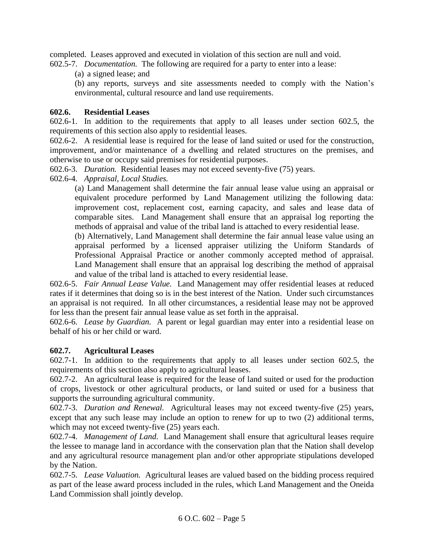completed. Leases approved and executed in violation of this section are null and void. 602.5-7. *Documentation.* The following are required for a party to enter into a lease:

(a) a signed lease; and

(b) any reports, surveys and site assessments needed to comply with the Nation's environmental, cultural resource and land use requirements.

## <span id="page-4-0"></span>**602.6. Residential Leases**

602.6-1. In addition to the requirements that apply to all leases under section 602.5, the requirements of this section also apply to residential leases.

602.6-2. A residential lease is required for the lease of land suited or used for the construction, improvement, and/or maintenance of a dwelling and related structures on the premises, and otherwise to use or occupy said premises for residential purposes.

602.6-3. *Duration.* Residential leases may not exceed seventy-five (75) years.

602.6-4. *Appraisal, Local Studies.*

(a) Land Management shall determine the fair annual lease value using an appraisal or equivalent procedure performed by Land Management utilizing the following data: improvement cost, replacement cost, earning capacity, and sales and lease data of comparable sites. Land Management shall ensure that an appraisal log reporting the methods of appraisal and value of the tribal land is attached to every residential lease.

(b) Alternatively, Land Management shall determine the fair annual lease value using an appraisal performed by a licensed appraiser utilizing the Uniform Standards of Professional Appraisal Practice or another commonly accepted method of appraisal. Land Management shall ensure that an appraisal log describing the method of appraisal and value of the tribal land is attached to every residential lease.

602.6-5. *Fair Annual Lease Value.* Land Management may offer residential leases at reduced rates if it determines that doing so is in the best interest of the Nation. Under such circumstances an appraisal is not required. In all other circumstances, a residential lease may not be approved for less than the present fair annual lease value as set forth in the appraisal.

602.6-6. *Lease by Guardian.* A parent or legal guardian may enter into a residential lease on behalf of his or her child or ward.

#### <span id="page-4-1"></span>**602.7. Agricultural Leases**

602.7-1. In addition to the requirements that apply to all leases under section 602.5, the requirements of this section also apply to agricultural leases.

602.7-2. An agricultural lease is required for the lease of land suited or used for the production of crops, livestock or other agricultural products, or land suited or used for a business that supports the surrounding agricultural community.

602.7-3. *Duration and Renewal.* Agricultural leases may not exceed twenty-five (25) years, except that any such lease may include an option to renew for up to two (2) additional terms, which may not exceed twenty-five  $(25)$  years each.

602.7-4. *Management of Land.* Land Management shall ensure that agricultural leases require the lessee to manage land in accordance with the conservation plan that the Nation shall develop and any agricultural resource management plan and/or other appropriate stipulations developed by the Nation.

602.7-5. *Lease Valuation.* Agricultural leases are valued based on the bidding process required as part of the lease award process included in the rules, which Land Management and the Oneida Land Commission shall jointly develop.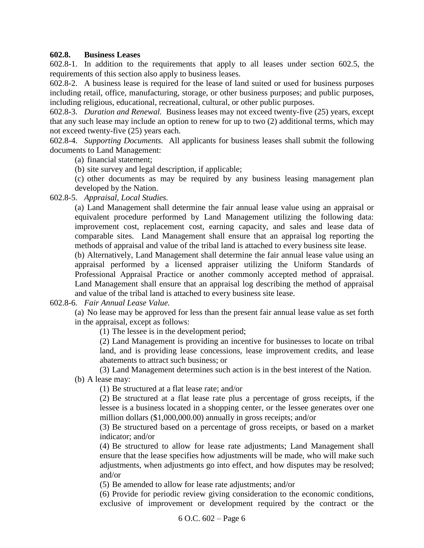#### <span id="page-5-0"></span>**602.8. Business Leases**

602.8-1. In addition to the requirements that apply to all leases under section 602.5, the requirements of this section also apply to business leases.

602.8-2. A business lease is required for the lease of land suited or used for business purposes including retail, office, manufacturing, storage, or other business purposes; and public purposes, including religious, educational, recreational, cultural, or other public purposes.

602.8-3. *Duration and Renewal.* Business leases may not exceed twenty-five (25) years, except that any such lease may include an option to renew for up to two (2) additional terms, which may not exceed twenty-five (25) years each.

602.8-4. *Supporting Documents.* All applicants for business leases shall submit the following documents to Land Management:

(a) financial statement;

(b) site survey and legal description, if applicable;

(c) other documents as may be required by any business leasing management plan developed by the Nation.

602.8-5. *Appraisal, Local Studies.*

(a) Land Management shall determine the fair annual lease value using an appraisal or equivalent procedure performed by Land Management utilizing the following data: improvement cost, replacement cost, earning capacity, and sales and lease data of comparable sites. Land Management shall ensure that an appraisal log reporting the methods of appraisal and value of the tribal land is attached to every business site lease.

(b) Alternatively, Land Management shall determine the fair annual lease value using an appraisal performed by a licensed appraiser utilizing the Uniform Standards of Professional Appraisal Practice or another commonly accepted method of appraisal. Land Management shall ensure that an appraisal log describing the method of appraisal and value of the tribal land is attached to every business site lease.

602.8-6. *Fair Annual Lease Value.*

(a) No lease may be approved for less than the present fair annual lease value as set forth in the appraisal, except as follows:

(1) The lessee is in the development period;

(2) Land Management is providing an incentive for businesses to locate on tribal land, and is providing lease concessions, lease improvement credits, and lease abatements to attract such business; or

(3) Land Management determines such action is in the best interest of the Nation. (b) A lease may:

(1) Be structured at a flat lease rate; and/or

(2) Be structured at a flat lease rate plus a percentage of gross receipts, if the lessee is a business located in a shopping center, or the lessee generates over one million dollars (\$1,000,000.00) annually in gross receipts; and/or

(3) Be structured based on a percentage of gross receipts, or based on a market indicator; and/or

(4) Be structured to allow for lease rate adjustments; Land Management shall ensure that the lease specifies how adjustments will be made, who will make such adjustments, when adjustments go into effect, and how disputes may be resolved; and/or

(5) Be amended to allow for lease rate adjustments; and/or

(6) Provide for periodic review giving consideration to the economic conditions, exclusive of improvement or development required by the contract or the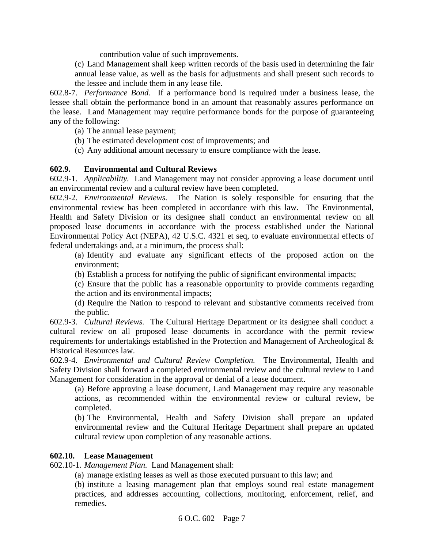contribution value of such improvements.

(c) Land Management shall keep written records of the basis used in determining the fair annual lease value, as well as the basis for adjustments and shall present such records to the lessee and include them in any lease file.

602.8-7. *Performance Bond.* If a performance bond is required under a business lease, the lessee shall obtain the performance bond in an amount that reasonably assures performance on the lease. Land Management may require performance bonds for the purpose of guaranteeing any of the following:

- (a) The annual lease payment;
- (b) The estimated development cost of improvements; and
- (c) Any additional amount necessary to ensure compliance with the lease.

## <span id="page-6-0"></span>**602.9. Environmental and Cultural Reviews**

602.9-1. *Applicability.* Land Management may not consider approving a lease document until an environmental review and a cultural review have been completed.

602.9-2. *Environmental Reviews.* The Nation is solely responsible for ensuring that the environmental review has been completed in accordance with this law. The Environmental, Health and Safety Division or its designee shall conduct an environmental review on all proposed lease documents in accordance with the process established under the National Environmental Policy Act (NEPA), 42 U.S.C. 4321 et seq, to evaluate environmental effects of federal undertakings and, at a minimum, the process shall:

(a) Identify and evaluate any significant effects of the proposed action on the environment;

(b) Establish a process for notifying the public of significant environmental impacts;

(c) Ensure that the public has a reasonable opportunity to provide comments regarding the action and its environmental impacts;

(d) Require the Nation to respond to relevant and substantive comments received from the public.

602.9-3. *Cultural Reviews.* The Cultural Heritage Department or its designee shall conduct a cultural review on all proposed lease documents in accordance with the permit review requirements for undertakings established in the Protection and Management of Archeological & Historical Resources law.

602.9-4. *Environmental and Cultural Review Completion.* The Environmental, Health and Safety Division shall forward a completed environmental review and the cultural review to Land Management for consideration in the approval or denial of a lease document.

(a) Before approving a lease document, Land Management may require any reasonable actions, as recommended within the environmental review or cultural review, be completed.

(b) The Environmental, Health and Safety Division shall prepare an updated environmental review and the Cultural Heritage Department shall prepare an updated cultural review upon completion of any reasonable actions.

#### <span id="page-6-1"></span>**602.10. Lease Management**

602.10-1. *Management Plan.* Land Management shall:

(a) manage existing leases as well as those executed pursuant to this law; and

(b) institute a leasing management plan that employs sound real estate management practices, and addresses accounting, collections, monitoring, enforcement, relief, and remedies.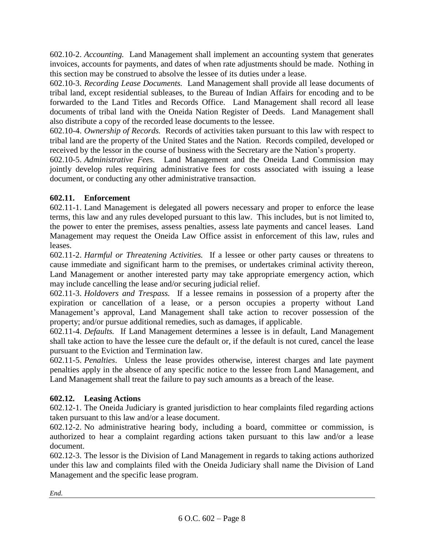602.10-2. *Accounting.* Land Management shall implement an accounting system that generates invoices, accounts for payments, and dates of when rate adjustments should be made. Nothing in this section may be construed to absolve the lessee of its duties under a lease.

602.10-3. *Recording Lease Documents.* Land Management shall provide all lease documents of tribal land, except residential subleases, to the Bureau of Indian Affairs for encoding and to be forwarded to the Land Titles and Records Office. Land Management shall record all lease documents of tribal land with the Oneida Nation Register of Deeds. Land Management shall also distribute a copy of the recorded lease documents to the lessee.

602.10-4. *Ownership of Records.* Records of activities taken pursuant to this law with respect to tribal land are the property of the United States and the Nation. Records compiled, developed or received by the lessor in the course of business with the Secretary are the Nation's property.

602.10-5. *Administrative Fees.* Land Management and the Oneida Land Commission may jointly develop rules requiring administrative fees for costs associated with issuing a lease document, or conducting any other administrative transaction.

# <span id="page-7-0"></span>**602.11. Enforcement**

602.11-1. Land Management is delegated all powers necessary and proper to enforce the lease terms, this law and any rules developed pursuant to this law. This includes, but is not limited to, the power to enter the premises, assess penalties, assess late payments and cancel leases. Land Management may request the Oneida Law Office assist in enforcement of this law, rules and leases.

602.11-2. *Harmful or Threatening Activities.* If a lessee or other party causes or threatens to cause immediate and significant harm to the premises, or undertakes criminal activity thereon, Land Management or another interested party may take appropriate emergency action, which may include cancelling the lease and/or securing judicial relief.

602.11-3. *Holdovers and Trespass.* If a lessee remains in possession of a property after the expiration or cancellation of a lease, or a person occupies a property without Land Management's approval, Land Management shall take action to recover possession of the property; and/or pursue additional remedies, such as damages, if applicable.

602.11-4. *Defaults.* If Land Management determines a lessee is in default, Land Management shall take action to have the lessee cure the default or, if the default is not cured, cancel the lease pursuant to the Eviction and Termination law.

602.11-5. *Penalties*.Unless the lease provides otherwise, interest charges and late payment penalties apply in the absence of any specific notice to the lessee from Land Management, and Land Management shall treat the failure to pay such amounts as a breach of the lease.

# <span id="page-7-1"></span>**602.12. Leasing Actions**

602.12-1. The Oneida Judiciary is granted jurisdiction to hear complaints filed regarding actions taken pursuant to this law and/or a lease document.

602.12-2. No administrative hearing body, including a board, committee or commission, is authorized to hear a complaint regarding actions taken pursuant to this law and/or a lease document.

602.12-3. The lessor is the Division of Land Management in regards to taking actions authorized under this law and complaints filed with the Oneida Judiciary shall name the Division of Land Management and the specific lease program.